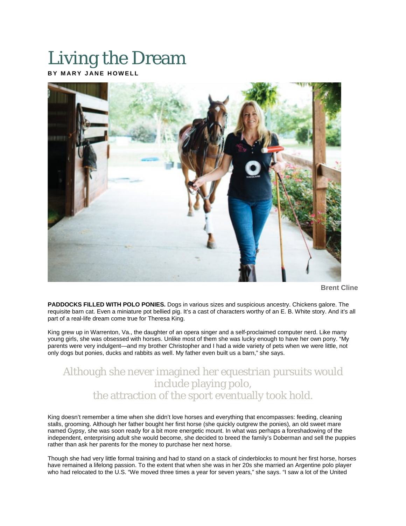## Living the Dream

**BY MARY JANE HOWELL**



**Brent Cline**

**PADDOCKS FILLED WITH POLO PONIES.** Dogs in various sizes and suspicious ancestry. Chickens galore. The requisite barn cat. Even a miniature pot bellied pig. It's a cast of characters worthy of an E. B. White story. And it's all part of a real-life dream come true for Theresa King.

King grew up in Warrenton, Va., the daughter of an opera singer and a self-proclaimed computer nerd. Like many young girls, she was obsessed with horses. Unlike most of them she was lucky enough to have her own pony. "My parents were very indulgent—and my brother Christopher and I had a wide variety of pets when we were little, not only dogs but ponies, ducks and rabbits as well. My father even built us a barn," she says.

## Although she never imagined her equestrian pursuits would include playing polo, the attraction of the sport eventually took hold.

King doesn't remember a time when she didn't love horses and everything that encompasses: feeding, cleaning stalls, grooming. Although her father bought her first horse (she quickly outgrew the ponies), an old sweet mare named Gypsy, she was soon ready for a bit more energetic mount. In what was perhaps a foreshadowing of the independent, enterprising adult she would become, she decided to breed the family's Doberman and sell the puppies rather than ask her parents for the money to purchase her next horse.

Though she had very little formal training and had to stand on a stack of cinderblocks to mount her first horse, horses have remained a lifelong passion. To the extent that when she was in her 20s she married an Argentine polo player who had relocated to the U.S. "We moved three times a year for seven years," she says. "I saw a lot of the United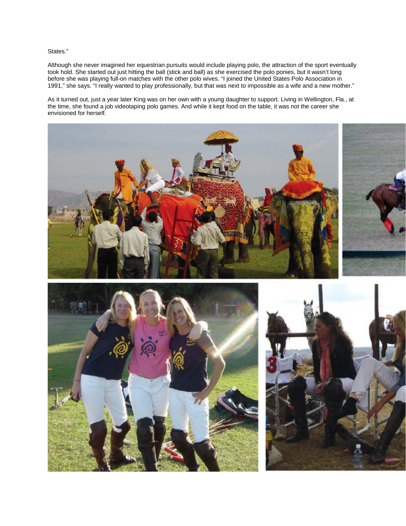States."

Although she never imagined her equestrian pursuits would include playing polo, the attraction of the sport eventually took hold. She started out just hitting the ball (stick and ball) as she exercised the polo ponies, but it wasn't long before she was playing full-on matches with the other polo wives. "I joined the United States Polo Association in 1991," she says. "I really wanted to play professionally, but that was next to impossible as a wife and a new mother."

As it turned out, just a year later King was on her own with a young daughter to support. Living in Wellington, Fla., at the time, she found a job videotaping polo games. And while it kept food on the table, it was not the career she envisioned for herself.





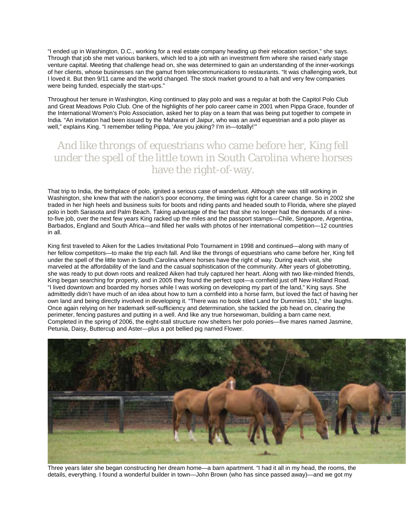"I ended up in Washington, D.C., working for a real estate company heading up their relocation section," she says. Through that job she met various bankers, which led to a job with an investment firm where she raised early stage venture capital. Meeting that challenge head on, she was determined to gain an understanding of the inner-workings of her clients, whose businesses ran the gamut from telecommunications to restaurants. "It was challenging work, but I loved it. But then 9/11 came and the world changed. The stock market ground to a halt and very few companies were being funded, especially the start-ups."

Throughout her tenure in Washington, King continued to play polo and was a regular at both the Capitol Polo Club and Great Meadows Polo Club. One of the highlights of her polo career came in 2001 when Pippa Grace, founder of the International Women's Polo Association, asked her to play on a team that was being put together to compete in India. "An invitation had been issued by the Maharani of Jaipur, who was an avid equestrian and a polo player as well," explains King. "I remember telling Pippa, 'Are you joking? I'm in—totally!""

## And like throngs of equestrians who came before her, King fell under the spell of the little town in South Carolina where horses have the right-of-way.

That trip to India, the birthplace of polo, ignited a serious case of wanderlust. Although she was still working in Washington, she knew that with the nation's poor economy, the timing was right for a career change. So in 2002 she traded in her high heels and business suits for boots and riding pants and headed south to Florida, where she played polo in both Sarasota and Palm Beach. Taking advantage of the fact that she no longer had the demands of a nineto-five job, over the next few years King racked up the miles and the passport stamps—Chile, Singapore, Argentina, Barbados, England and South Africa—and filled her walls with photos of her international competition—12 countries in all.

King first traveled to Aiken for the Ladies Invitational Polo Tournament in 1998 and continued—along with many of her fellow competitors—to make the trip each fall. And like the throngs of equestrians who came before her, King fell under the spell of the little town in South Carolina where horses have the right of way. During each visit, she marveled at the affordability of the land and the casual sophistication of the community. After years of globetrotting, she was ready to put down roots and realized Aiken had truly captured her heart. Along with two like-minded friends, King began searching for property, and in 2005 they found the perfect spot—a cornfield just off New Holland Road. "I lived downtown and boarded my horses while I was working on developing my part of the land," King says. She admittedly didn't have much of an idea about how to turn a cornfield into a horse farm, but loved the fact of having her own land and being directly involved in developing it. "There was no book titled Land for Dummies 101," she laughs. Once again relying on her trademark self-sufficiency and determination, she tackled the job head on, clearing the perimeter, fencing pastures and putting in a well. And like any true horsewoman, building a barn came next. Completed in the spring of 2006, the eight-stall structure now shelters her polo ponies—five mares named Jasmine, Petunia, Daisy, Buttercup and Aster—plus a pot bellied pig named Flower.



Three years later she began constructing her dream home—a barn apartment. "I had it all in my head, the rooms, the details, everything. I found a wonderful builder in town—John Brown (who has since passed away)—and we got my